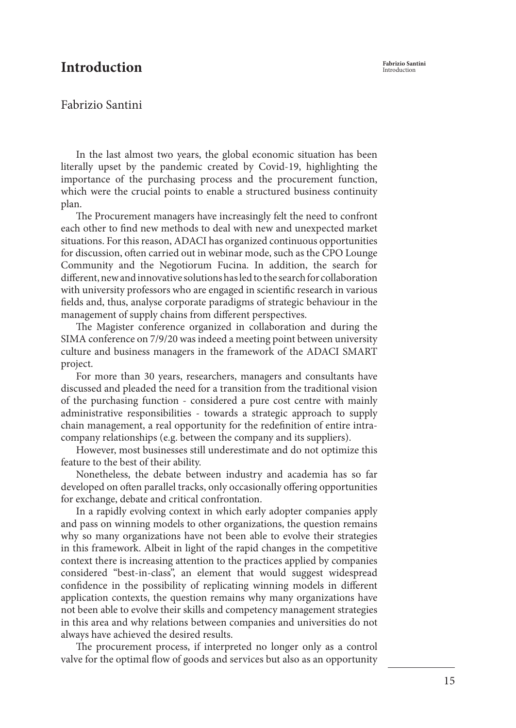## **Fabrizio Santini Introduction** Introduction

## Fabrizio Santini

In the last almost two years, the global economic situation has been literally upset by the pandemic created by Covid-19, highlighting the importance of the purchasing process and the procurement function, which were the crucial points to enable a structured business continuity plan.

The Procurement managers have increasingly felt the need to confront each other to find new methods to deal with new and unexpected market situations. For this reason, ADACI has organized continuous opportunities for discussion, often carried out in webinar mode, such as the CPO Lounge Community and the Negotiorum Fucina. In addition, the search for different, new and innovative solutions has led to the search for collaboration with university professors who are engaged in scientific research in various fields and, thus, analyse corporate paradigms of strategic behaviour in the management of supply chains from different perspectives.

The Magister conference organized in collaboration and during the SIMA conference on 7/9/20 was indeed a meeting point between university culture and business managers in the framework of the ADACI SMART project.

For more than 30 years, researchers, managers and consultants have discussed and pleaded the need for a transition from the traditional vision of the purchasing function - considered a pure cost centre with mainly administrative responsibilities - towards a strategic approach to supply chain management, a real opportunity for the redefinition of entire intracompany relationships (e.g. between the company and its suppliers).

However, most businesses still underestimate and do not optimize this feature to the best of their ability.

Nonetheless, the debate between industry and academia has so far developed on often parallel tracks, only occasionally offering opportunities for exchange, debate and critical confrontation.

In a rapidly evolving context in which early adopter companies apply and pass on winning models to other organizations, the question remains why so many organizations have not been able to evolve their strategies in this framework. Albeit in light of the rapid changes in the competitive context there is increasing attention to the practices applied by companies considered "best-in-class", an element that would suggest widespread confidence in the possibility of replicating winning models in different application contexts, the question remains why many organizations have not been able to evolve their skills and competency management strategies in this area and why relations between companies and universities do not always have achieved the desired results.

The procurement process, if interpreted no longer only as a control valve for the optimal flow of goods and services but also as an opportunity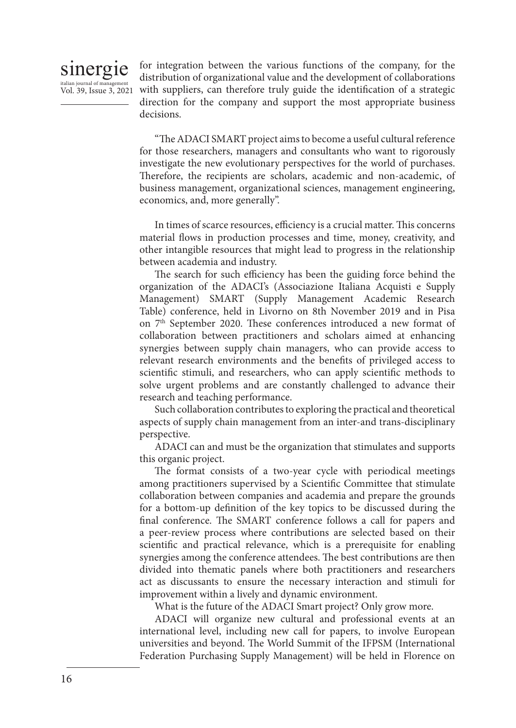

Vol. 39, Issue 3, 2021 with suppliers, can therefore truly guide the identification of a strategic for integration between the various functions of the company, for the distribution of organizational value and the development of collaborations direction for the company and support the most appropriate business decisions.

> "The ADACI SMART project aims to become a useful cultural reference for those researchers, managers and consultants who want to rigorously investigate the new evolutionary perspectives for the world of purchases. Therefore, the recipients are scholars, academic and non-academic, of business management, organizational sciences, management engineering, economics, and, more generally".

> In times of scarce resources, efficiency is a crucial matter. This concerns material flows in production processes and time, money, creativity, and other intangible resources that might lead to progress in the relationship between academia and industry.

> The search for such efficiency has been the guiding force behind the organization of the ADACI's (Associazione Italiana Acquisti e Supply Management) SMART (Supply Management Academic Research Table) conference, held in Livorno on 8th November 2019 and in Pisa on 7<sup>th</sup> September 2020. These conferences introduced a new format of collaboration between practitioners and scholars aimed at enhancing synergies between supply chain managers, who can provide access to relevant research environments and the benefits of privileged access to scientific stimuli, and researchers, who can apply scientific methods to solve urgent problems and are constantly challenged to advance their research and teaching performance.

> Such collaboration contributes to exploring the practical and theoretical aspects of supply chain management from an inter-and trans-disciplinary perspective.

> ADACI can and must be the organization that stimulates and supports this organic project.

> The format consists of a two-year cycle with periodical meetings among practitioners supervised by a Scientific Committee that stimulate collaboration between companies and academia and prepare the grounds for a bottom-up definition of the key topics to be discussed during the final conference. The SMART conference follows a call for papers and a peer-review process where contributions are selected based on their scientific and practical relevance, which is a prerequisite for enabling synergies among the conference attendees. The best contributions are then divided into thematic panels where both practitioners and researchers act as discussants to ensure the necessary interaction and stimuli for improvement within a lively and dynamic environment.

What is the future of the ADACI Smart project? Only grow more.

ADACI will organize new cultural and professional events at an international level, including new call for papers, to involve European universities and beyond. The World Summit of the IFPSM (International Federation Purchasing Supply Management) will be held in Florence on